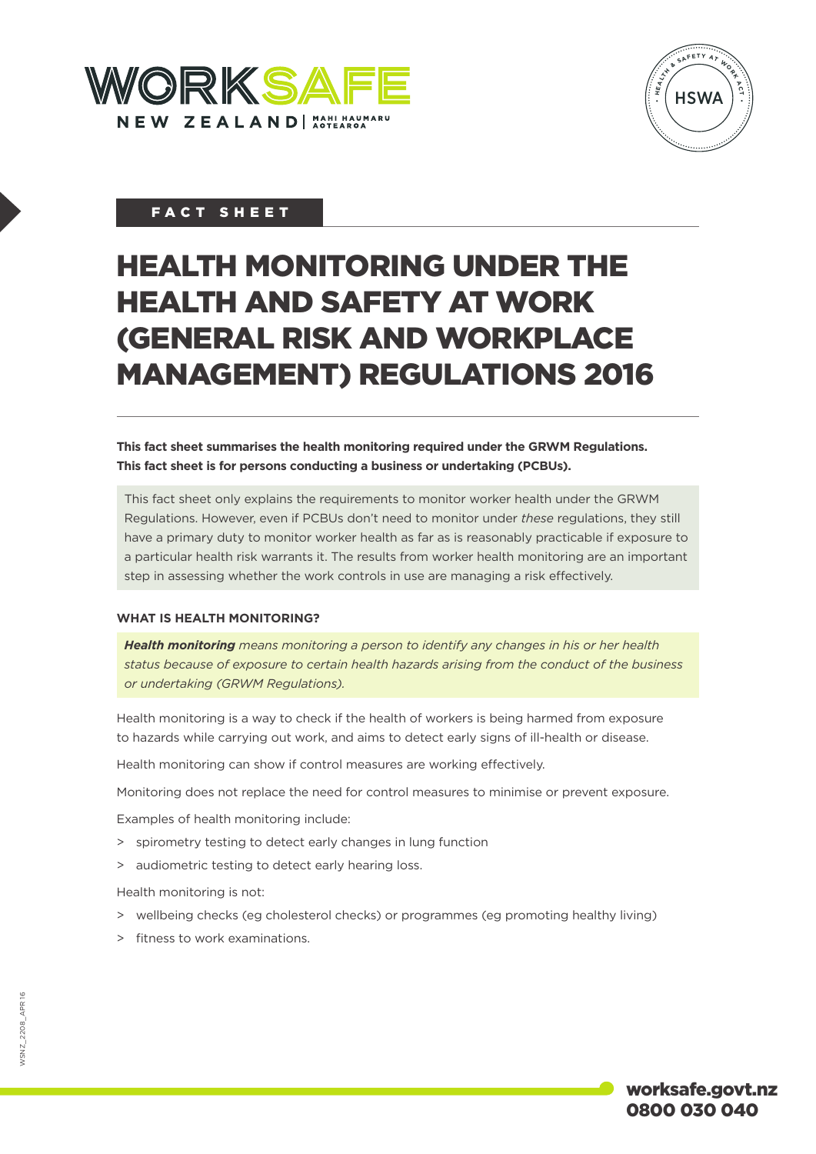



# FACT SHEET

# HEALTH MONITORING UNDER THE HEALTH AND SAFETY AT WORK (GENERAL RISK AND WORKPLACE MANAGEMENT) REGULATIONS 2016

**This fact sheet summarises the health monitoring required under the GRWM Regulations. This fact sheet is for persons conducting a business or undertaking (PCBUs).**

This fact sheet only explains the requirements to monitor worker health under the GRWM Regulations. However, even if PCBUs don't need to monitor under *these* regulations, they still have a primary duty to monitor worker health as far as is reasonably practicable if exposure to a particular health risk warrants it. The results from worker health monitoring are an important step in assessing whether the work controls in use are managing a risk effectively.

#### **WHAT IS HEALTH MONITORING?**

*Health monitoring means monitoring a person to identify any changes in his or her health status because of exposure to certain health hazards arising from the conduct of the business or undertaking (GRWM Regulations).*

Health monitoring is a way to check if the health of workers is being harmed from exposure to hazards while carrying out work, and aims to detect early signs of ill-health or disease.

Health monitoring can show if control measures are working effectively.

Monitoring does not replace the need for control measures to minimise or prevent exposure.

Examples of health monitoring include:

- > spirometry testing to detect early changes in lung function
- > audiometric testing to detect early hearing loss.

Health monitoring is not:

- > wellbeing checks (eg cholesterol checks) or programmes (eg promoting healthy living)
- > fitness to work examinations.

worksafe.govt.nz 0800 030 040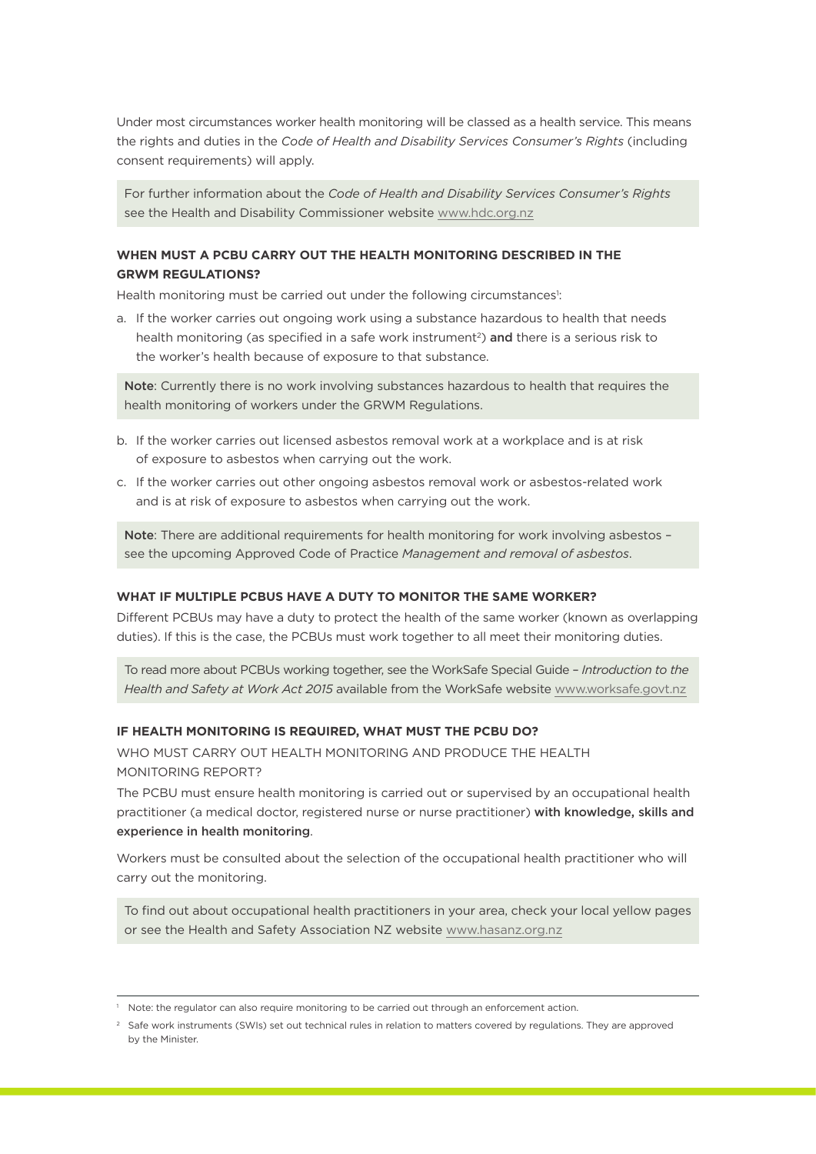Under most circumstances worker health monitoring will be classed as a health service. This means the rights and duties in the *Code of Health and Disability Services Consumer's Rights* (including consent requirements) will apply.

For further information about the *Code of Health and Disability Services Consumer's Rights* see the Health and Disability Commissioner website [www.hdc.org.nz](http://www.hdc.org.nz/)

# **WHEN MUST A PCBU CARRY OUT THE HEALTH MONITORING DESCRIBED IN THE GRWM REGULATIONS?**

Health monitoring must be carried out under the following circumstances<sup>1</sup>:

a. If the worker carries out ongoing work using a substance hazardous to health that needs health monitoring (as specified in a safe work instrument<sup>2</sup>) and there is a serious risk to the worker's health because of exposure to that substance.

Note: Currently there is no work involving substances hazardous to health that requires the health monitoring of workers under the GRWM Regulations.

- b. If the worker carries out licensed asbestos removal work at a workplace and is at risk of exposure to asbestos when carrying out the work.
- c. If the worker carries out other ongoing asbestos removal work or asbestos-related work and is at risk of exposure to asbestos when carrying out the work.

Note: There are additional requirements for health monitoring for work involving asbestos see the upcoming Approved Code of Practice *Management and removal of asbestos*.

# **WHAT IF MULTIPLE PCBUS HAVE A DUTY TO MONITOR THE SAME WORKER?**

Different PCBUs may have a duty to protect the health of the same worker (known as overlapping duties). If this is the case, the PCBUs must work together to all meet their monitoring duties.

To read more about PCBUs working together, see the WorkSafe Special Guide – *Introduction to the Health and Safety at Work Act 2015* available from the WorkSafe website [www.worksafe.govt.nz](http://www.worksafe.govt.nz/)

#### **IF HEALTH MONITORING IS REQUIRED, WHAT MUST THE PCBU DO?**

WHO MUST CARRY OUT HEALTH MONITORING AND PRODUCE THE HEALTH MONITORING REPORT?

The PCBU must ensure health monitoring is carried out or supervised by an occupational health practitioner (a medical doctor, registered nurse or nurse practitioner) with knowledge, skills and experience in health monitoring.

Workers must be consulted about the selection of the occupational health practitioner who will carry out the monitoring.

To find out about occupational health practitioners in your area, check your local yellow pages or see the Health and Safety Association NZ website [www.hasanz.org.nz](http://www.hasanz.org.nz)

Note: the regulator can also require monitoring to be carried out through an enforcement action.

<sup>&</sup>lt;sup>2</sup> Safe work instruments (SWIs) set out technical rules in relation to matters covered by regulations. They are approved by the Minister.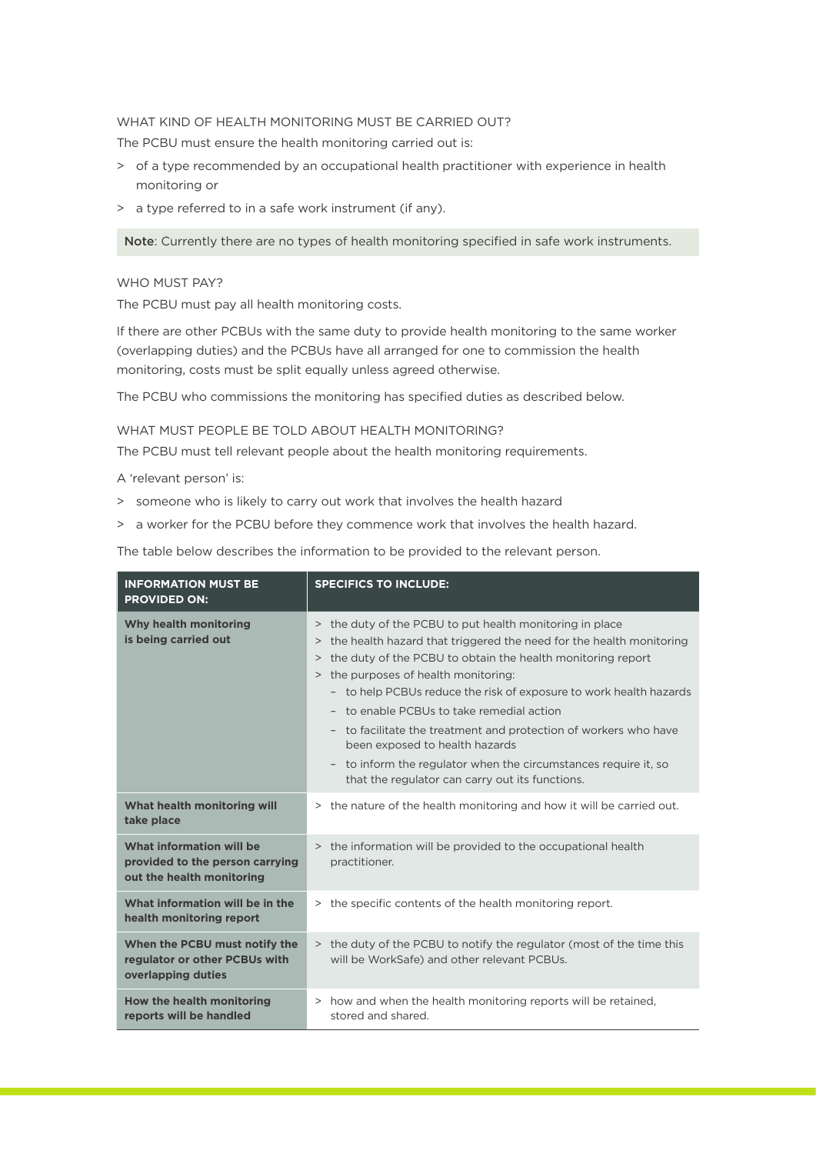#### WHAT KIND OF HEALTH MONITORING MUST BE CARRIED OUT?

The PCBU must ensure the health monitoring carried out is:

- > of a type recommended by an occupational health practitioner with experience in health monitoring or
- > a type referred to in a safe work instrument (if any).

Note: Currently there are no types of health monitoring specified in safe work instruments.

#### WHO MUST PAY?

The PCBU must pay all health monitoring costs.

If there are other PCBUs with the same duty to provide health monitoring to the same worker (overlapping duties) and the PCBUs have all arranged for one to commission the health monitoring, costs must be split equally unless agreed otherwise.

The PCBU who commissions the monitoring has specified duties as described below.

#### WHAT MUST PEOPLE BE TOLD ABOUT HEALTH MONITORING?

The PCBU must tell relevant people about the health monitoring requirements.

A 'relevant person' is:

- > someone who is likely to carry out work that involves the health hazard
- > a worker for the PCBU before they commence work that involves the health hazard.

The table below describes the information to be provided to the relevant person.

| <b>INFORMATION MUST BE</b><br><b>PROVIDED ON:</b>                                        | <b>SPECIFICS TO INCLUDE:</b>                                                                                                                                                                                                                                                                                                                                                                                                                                                                                                                                                                                         |
|------------------------------------------------------------------------------------------|----------------------------------------------------------------------------------------------------------------------------------------------------------------------------------------------------------------------------------------------------------------------------------------------------------------------------------------------------------------------------------------------------------------------------------------------------------------------------------------------------------------------------------------------------------------------------------------------------------------------|
| Why health monitoring<br>is being carried out                                            | > the duty of the PCBU to put health monitoring in place<br>the health hazard that triggered the need for the health monitoring<br>$\rm{>}$<br>the duty of the PCBU to obtain the health monitoring report<br>$\,>$<br>the purposes of health monitoring:<br>$\rm{>}$<br>- to help PCBUs reduce the risk of exposure to work health hazards<br>- to enable PCBUs to take remedial action<br>- to facilitate the treatment and protection of workers who have<br>been exposed to health hazards<br>- to inform the regulator when the circumstances require it, so<br>that the regulator can carry out its functions. |
| What health monitoring will<br>take place                                                | > the nature of the health monitoring and how it will be carried out.                                                                                                                                                                                                                                                                                                                                                                                                                                                                                                                                                |
| What information will be<br>provided to the person carrying<br>out the health monitoring | > the information will be provided to the occupational health<br>practitioner.                                                                                                                                                                                                                                                                                                                                                                                                                                                                                                                                       |
| What information will be in the<br>health monitoring report                              | > the specific contents of the health monitoring report.                                                                                                                                                                                                                                                                                                                                                                                                                                                                                                                                                             |
| When the PCBU must notify the<br>regulator or other PCBUs with<br>overlapping duties     | > the duty of the PCBU to notify the regulator (most of the time this<br>will be WorkSafe) and other relevant PCBUs.                                                                                                                                                                                                                                                                                                                                                                                                                                                                                                 |
| How the health monitoring<br>reports will be handled                                     | > how and when the health monitoring reports will be retained,<br>stored and shared.                                                                                                                                                                                                                                                                                                                                                                                                                                                                                                                                 |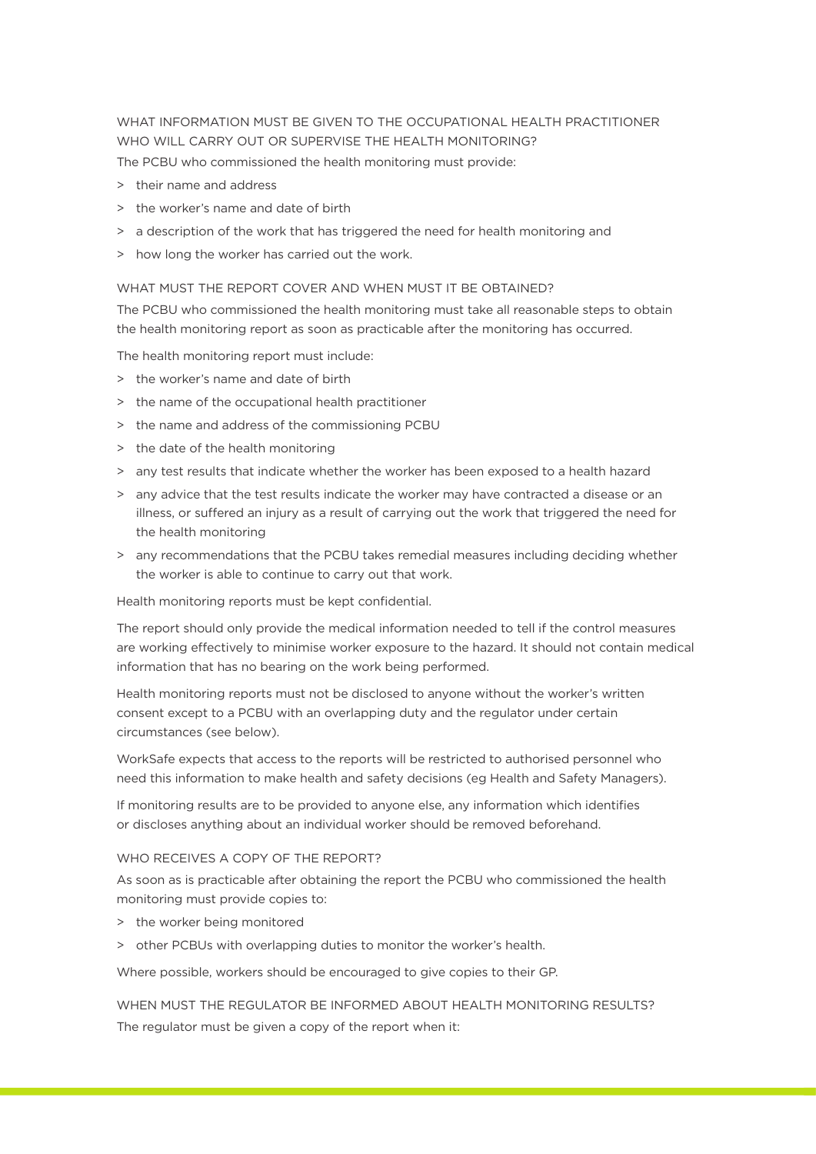WHAT INFORMATION MUST BE GIVEN TO THE OCCUPATIONAL HEALTH PRACTITIONER WHO WILL CARRY OUT OR SUPERVISE THE HEALTH MONITORING? The PCBU who commissioned the health monitoring must provide:

- > their name and address
- > the worker's name and date of birth
- > a description of the work that has triggered the need for health monitoring and
- > how long the worker has carried out the work.

#### WHAT MUST THE REPORT COVER AND WHEN MUST IT BE OBTAINED?

The PCBU who commissioned the health monitoring must take all reasonable steps to obtain the health monitoring report as soon as practicable after the monitoring has occurred.

The health monitoring report must include:

- > the worker's name and date of birth
- > the name of the occupational health practitioner
- > the name and address of the commissioning PCBU
- > the date of the health monitoring
- > any test results that indicate whether the worker has been exposed to a health hazard
- > any advice that the test results indicate the worker may have contracted a disease or an illness, or suffered an injury as a result of carrying out the work that triggered the need for the health monitoring
- > any recommendations that the PCBU takes remedial measures including deciding whether the worker is able to continue to carry out that work.

Health monitoring reports must be kept confidential.

The report should only provide the medical information needed to tell if the control measures are working effectively to minimise worker exposure to the hazard. It should not contain medical information that has no bearing on the work being performed.

Health monitoring reports must not be disclosed to anyone without the worker's written consent except to a PCBU with an overlapping duty and the regulator under certain circumstances (see below).

WorkSafe expects that access to the reports will be restricted to authorised personnel who need this information to make health and safety decisions (eg Health and Safety Managers).

If monitoring results are to be provided to anyone else, any information which identifies or discloses anything about an individual worker should be removed beforehand.

#### WHO RECEIVES A COPY OF THE REPORT?

As soon as is practicable after obtaining the report the PCBU who commissioned the health monitoring must provide copies to:

- > the worker being monitored
- > other PCBUs with overlapping duties to monitor the worker's health.

Where possible, workers should be encouraged to give copies to their GP.

WHEN MUST THE REGULATOR BE INFORMED ABOUT HEALTH MONITORING RESULTS? The regulator must be given a copy of the report when it: